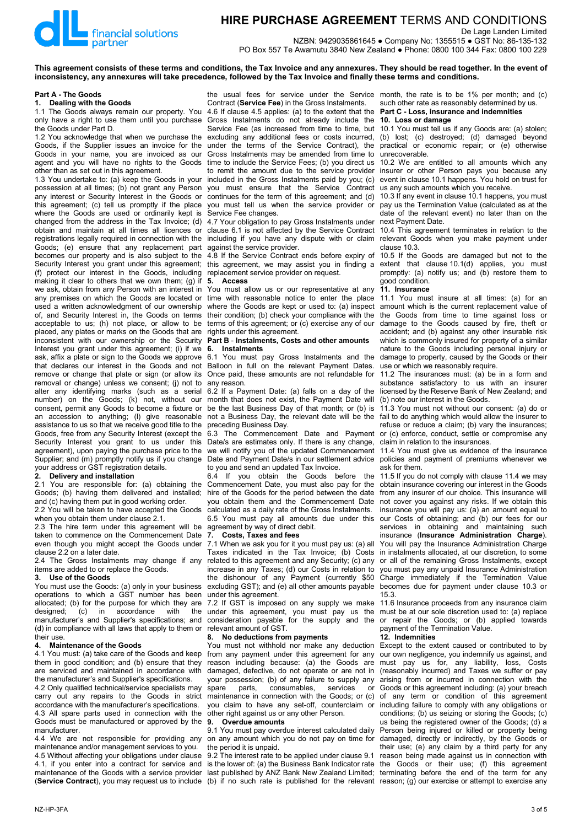

# **HIRE PURCHASE AGREEMENT** TERMS AND CONDITIONS De Lage Landen Limited

NZBN: 9429035861645 ● Company No: 1355515 ● GST No: 86-135-132 PO Box 557 Te Awamutu 3840 New Zealand ● Phone: 0800 100 344 Fax: 0800 100 229

**This agreement consists of these terms and conditions, the Tax Invoice and any annexures. They should be read together. In the event of inconsistency, any annexures will take precedence, followed by the Tax Invoice and finally these terms and conditions.**

#### **Part A - The Goods**

**1. Dealing with the Goods**

1.1 The Goods always remain our property. You 4.6 If clause 4.5 applies: (a) to the extent that the only have a right to use them until you purchase the Goods under Part D.

1.2 You acknowledge that when we purchase the Goods, if the Supplier issues an invoice for the Goods in your name, you are invoiced as our agent and you will have no rights to the Goods other than as set out in this agreement.

1.3 You undertake to: (a) keep the Goods in your possession at all times; (b) not grant any Person any interest or Security Interest in the Goods or this agreement; (c) tell us promptly if the place where the Goods are used or ordinarily kept is changed from the address in the Tax Invoice; (d) obtain and maintain at all times all licences or registrations legally required in connection with the Goods; (e) ensure that any replacement part becomes our property and is also subject to the Security Interest you grant under this agreement; (f) protect our interest in the Goods, including making it clear to others that we own them; (g) if we ask, obtain from any Person with an interest in any premises on which the Goods are located or used a written acknowledgment of our ownership of, and Security Interest in, the Goods on terms acceptable to us; (h) not place, or allow to be placed, any plates or marks on the Goods that are inconsistent with our ownership or the Security Interest you grant under this agreement; (i) if we ask, affix a plate or sign to the Goods we approve that declares our interest in the Goods and not remove or change that plate or sign (or allow its removal or change) unless we consent; (j) not to alter any identifying marks (such as a serial number) on the Goods; (k) not, without our consent, permit any Goods to become a fixture or an accession to anything; (l) give reasonable assistance to us so that we receive good title to the Goods, free from any Security Interest (except the Security Interest you grant to us under this agreement), upon paying the purchase price to the Supplier; and (m) promptly notify us if you change your address or GST registration details.<br>2. Delivery and installation

# **2. Delivery and installation**

2.1 You are responsible for: (a) obtaining the Goods; (b) having them delivered and installed; and (c) having them put in good working order. 2.2 You will be taken to have accepted the Goods

when you obtain them under clause 2.1.

2.3 The hire term under this agreement will be taken to commence on the Commencement Date even though you might accept the Goods under clause 2.2 on a later date.

2.4 The Gross Instalments may change if any items are added to or replace the Goods.

#### **3. Use of the Goods**

You must use the Goods: (a) only in your business operations to which a GST number has been allocated; (b) for the purpose for which they are designed; (c) in accordance with the designed; (c) in accordance with the manufacturer's and Supplier's specifications; and (d) in compliance with all laws that apply to them or their use.

## **4. Maintenance of the Goods**

4.1 You must: (a) take care of the Goods and keep them in good condition; and (b) ensure that they are serviced and maintained in accordance with the manufacturer's and Supplier's specifications.

4.2 Only qualified technical/service specialists may carry out any repairs to the Goods in strict accordance with the manufacturer's specifications. 4.3 All spare parts used in connection with the Goods must be manufactured or approved by the manufacturer.

4.4 We are not responsible for providing any maintenance and/or management services to you. 4.5 Without affecting your obligations under clause 4.1, if you enter into a contract for service and maintenance of the Goods with a service provider

the usual fees for service under the Service month, the rate is to be 1% per month; and (c) Contract (**Service Fee**) in the Gross Instalments.

Gross Instalments do not already include the Service Fee (as increased from time to time, but excluding any additional fees or costs incurred, under the terms of the Service Contract), the Gross Instalments may be amended from time to time to include the Service Fees; (b) you direct us to remit the amount due to the service provider included in the Gross Instalments paid by you; (c) you must ensure that the Service Contract continues for the term of this agreement; and (d) you must tell us when the service provider or Service Fee changes.

4.7 Your obligation to pay Gross Instalments under clause 6.1 is not affected by the Service Contract including if you have any dispute with or claim against the service provider.

4.8 If the Service Contract ends before expiry of this agreement, we may assist you in finding a replacement service provider on request.<br>5. Access

#### **5. Access**

You must allow us or our representative at any time with reasonable notice to enter the place where the Goods are kept or used to: (a) inspect their condition; (b) check your compliance with the terms of this agreement; or (c) exercise any of our rights under this agreement.

#### **Part B** - **Instalments, Costs and other amounts 6. Instalments**

6.1 You must pay Gross Instalments and the Balloon in full on the relevant Payment Dates. Once paid, these amounts are not refundable for any reason.

6.2 If a Payment Date: (a) falls on a day of the month that does not exist, the Payment Date will be the last Business Day of that month; or (b) is not a Business Day, the relevant date will be the preceding Business Day.

6.3 The Commencement Date and Payment Date/s are estimates only. If there is any change, we will notify you of the updated Commencement Date and Payment Date/s in our settlement advice to you and send an updated Tax Invoice.

6.4 If you obtain the Goods before the Commencement Date, you must also pay for the hire of the Goods for the period between the date you obtain them and the Commencement Date calculated as a daily rate of the Gross Instalments. 6.5 You must pay all amounts due under this agreement by way of direct debit.<br>7 Costs Taxes and fees

# **7. Costs, Taxes and fees**

7.1 When we ask you for it you must pay us: (a) all Taxes indicated in the Tax Invoice; (b) Costs related to this agreement and any Security; (c) any increase in any Taxes; (d) our Costs in relation to the dishonour of any Payment (currently \$50 excluding GST); and (e) all other amounts payable under this agreement.

7.2 If GST is imposed on any supply we make under this agreement, you must pay us the consideration payable for the supply and the relevant amount of GST.

# **8. No deductions from payments**

You must not withhold nor make any deduction from any payment under this agreement for any reason including because: (a) the Goods are damaged, defective, do not operate or are not in your possession; (b) of any failure to supply any spare parts, consumables, services or consumables, services or maintenance in connection with the Goods; or (c) you claim to have any set-off, counterclaim or other right against us or any other Person.

#### **9. Overdue amounts**

9.1 You must pay overdue interest calculated daily on any amount which you do not pay on time for the period it is unpaid.

(Service Contract), you may request us to include (b) if no such rate is published for the relevant reason; (g) our exercise or attempt to exercise any 9.2 The interest rate to be applied under clause 9.1 is the lower of: (a) the Business Bank Indicator rate last published by ANZ Bank New Zealand Limited;

such other rate as reasonably determined by us. **Part C - Loss, insurance and indemnities**

#### **10. Loss or damage**

10.1 You must tell us if any Goods are: (a) stolen; (b) lost; (c) destroyed; (d) damaged beyond practical or economic repair; or (e) otherwise unrecoverable.

10.2 We are entitled to all amounts which any insurer or other Person pays you because any event in clause 10.1 happens. You hold on trust for us any such amounts which you receive.

10.3 If any event in clause 10.1 happens, you must pay us the Termination Value (calculated as at the date of the relevant event) no later than on the next Payment Date.

10.4 This agreement terminates in relation to the relevant Goods when you make payment under clause 10.3.

10.5 If the Goods are damaged but not to the extent that clause 10.1(d) applies, you must promptly: (a) notify us; and (b) restore them to good condition.

## **11. Insurance**

11.1 You must insure at all times: (a) for an amount which is the current replacement value of the Goods from time to time against loss or damage to the Goods caused by fire, theft or accident; and (b) against any other insurable risk which is commonly insured for property of a similar nature to the Goods including personal injury or damage to property, caused by the Goods or their use or which we reasonably require.

11.2 The insurances must: (a) be in a form and substance satisfactory to us with an insurer licensed by the Reserve Bank of New Zealand; and (b) note our interest in the Goods.

11.3 You must not without our consent: (a) do or fail to do anything which would allow the insurer to refuse or reduce a claim; (b) vary the insurances; or (c) enforce, conduct, settle or compromise any claim in relation to the insurances.

11.4 You must give us evidence of the insurance policies and payment of premiums whenever we ask for them.

11.5 If you do not comply with clause 11.4 we may obtain insurance covering our interest in the Goods from any insurer of our choice. This insurance will not cover you against any risks. If we obtain this insurance you will pay us: (a) an amount equal to our Costs of obtaining; and (b) our fees for our services in obtaining and maintaining such insurance (**Insurance Administration Charge**). You will pay the Insurance Administration Charge in instalments allocated, at our discretion, to some or all of the remaining Gross Instalments, except you must pay any unpaid Insurance Administration Charge immediately if the Termination Value becomes due for payment under clause 10.3 or 15.3.

11.6 Insurance proceeds from any insurance claim must be at our sole discretion used to: (a) replace or repair the Goods; or (b) applied towards payment of the Termination Value.

# **12. Indemnities**

Except to the extent caused or contributed to by our own negligence, you indemnify us against, and must pay us for, any liability, loss, Costs (reasonably incurred) and Taxes we suffer or pay arising from or incurred in connection with the Goods or this agreement including: (a) your breach of any term or condition of this agreement including failure to comply with any obligations or conditions; (b) us seizing or storing the Goods; (c) us being the registered owner of the Goods; (d) a Person being injured or killed or property being damaged, directly or indirectly, by the Goods or their use; (e) any claim by a third party for any reason being made against us in connection with the Goods or their use; (f) this agreement terminating before the end of the term for any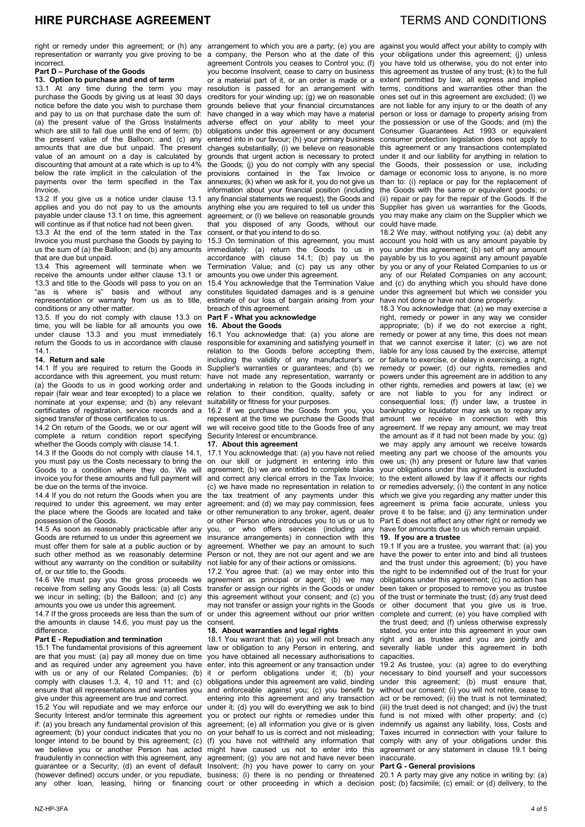right or remedy under this agreement; or (h) any arrangement to which you are a party; (e) you are against you would affect your ability to comply with representation or warranty you give proving to be incorrect.

# **Part D – Purchase of the Goods**

**13. Option to purchase and end of term**

13.1 At any time during the term you may purchase the Goods by giving us at least 30 days notice before the date you wish to purchase them and pay to us on that purchase date the sum of: (a) the present value of the Gross Instalments which are still to fall due until the end of term; (b) the present value of the Balloon; and (c) any amounts that are due but unpaid. The present value of an amount on a day is calculated by discounting that amount at a rate which is up to 4% below the rate implicit in the calculation of the payments over the term specified in the Tax Invoice.

13.2 If you give us a notice under clause 13.1 applies and you do not pay to us the amounts payable under clause 13.1 on time, this agreement will continue as if that notice had not been given.

13.3 At the end of the term stated in the Tax Invoice you must purchase the Goods by paying to us the sum of (a) the Balloon; and (b) any amounts that are due but unpaid.

13.4 This agreement will terminate when we receive the amounts under either clause 13.1 or 13.3 and title to the Goods will pass to you on an "as is where is" basis and without any representation or warranty from us as to title, conditions or any other matter.

13.5. If you do not comply with clause 13.3 on time, you will be liable for all amounts you owe under clause 13.3 and you must immediately return the Goods to us in accordance with clause 14.1.

#### **14. Return and sale**

14.1 If you are required to return the Goods in accordance with this agreement, you must return: (a) the Goods to us in good working order and repair (fair wear and tear excepted) to a place we nominate at your expense; and (b) any relevant certificates of registration, service records and a signed transfer of those certificates to us.

14.2 On return of the Goods, we or our agent will complete a return condition report specifying whether the Goods comply with clause 14.1.

14.3 If the Goods do not comply with clause 14.1, you must pay us the Costs necessary to bring the Goods to a condition where they do. We will invoice you for these amounts and full payment will be due on the terms of the invoice.

14.4 If you do not return the Goods when you are required to under this agreement, we may enter the place where the Goods are located and take possession of the Goods.

14.5 As soon as reasonably practicable after any Goods are returned to us under this agreement we must offer them for sale at a public auction or by such other method as we reasonably determine without any warranty on the condition or suitability of, or our title to, the Goods.

14.6 We must pay you the gross proceeds we receive from selling any Goods less: (a) all Costs we incur in selling; (b) the Balloon; and (c) any amounts you owe us under this agreement.

14.7 If the gross proceeds are less than the sum of the amounts in clause 14.6, you must pay us the difference.

# **Part E - Repudiation and termination**

15.1 The fundamental provisions of this agreement are that you must: (a) pay all money due on time and as required under any agreement you have with us or any of our Related Companies: (b) comply with clauses 1.3, 4, 10 and 11; and  $(c)$ ensure that all representations and warranties you give under this agreement are true and correct.

15.2 You will repudiate and we may enforce our Security Interest and/or terminate this agreement if: (a) you breach any fundamental provision of this agreement; (b) your conduct indicates that you no longer intend to be bound by this agreement; (c) we believe you or another Person has acted fraudulently in connection with this agreement, any guarantee or a Security; (d) an event of default (however defined) occurs under, or you repudiate, business; (i) there is no pending or threatened

a company, the Person who at the date of this agreement Controls you ceases to Control you; (f) you become Insolvent, cease to carry on business or a material part of it, or an order is made or a resolution is passed for an arrangement with creditors for your winding up; (g) we on reasonable grounds believe that your financial circumstances have changed in a way which may have a material adverse effect on your ability to meet your obligations under this agreement or any document entered into in our favour; (h) your primary business changes substantially; (i) we believe on reasonable grounds that urgent action is necessary to protect the Goods; (j) you do not comply with any special provisions contained in the Tax Invoice or .<br>annexures; (k) when we ask for it, you do not give us information about your financial position (including any financial statements we request), the Goods and anything else you are required to tell us under this agreement; or (l) we believe on reasonable grounds that you disposed of any Goods, without our consent, or that you intend to do so.

15.3 On termination of this agreement, you must immediately: (a) return the Goods to us in accordance with clause 14.1; (b) pay us the Termination Value; and (c) pay us any other amounts you owe under this agreement.

15.4 You acknowledge that the Termination Value constitutes liquidated damages and is a genuine estimate of our loss of bargain arising from your breach of this agreement.

# **Part F - What you acknowledge**

# **16. About the Goods**

16.1 You acknowledge that: (a) you alone are responsible for examining and satisfying yourself in relation to the Goods before accepting them, including the validity of any manufacturer's or Supplier's warranties or guarantees; and (b) we have not made any representation, warranty or undertaking in relation to the Goods including in relation to their condition, quality, safety or suitability or fitness for your purposes.

16.2 If we purchase the Goods from you, you represent at the time we purchase the Goods that we will receive good title to the Goods free of any Security Interest or encumbrance.

# **17. About this agreement**

17.1 You acknowledge that: (a) you have not relied on our skill or judgment in entering into this agreement; (b) we are entitled to complete blanks and correct any clerical errors in the Tax Invoice; (c) we have made no representation in relation to the tax treatment of any payments under this agreement; and (d) we may pay commission, fees or other remuneration to any broker, agent, dealer or other Person who introduces you to us or us to you, or who offers services (including any insurance arrangements) in connection with this agreement. Whether we pay an amount to such Person or not, they are not our agent and we are not liable for any of their actions or omissions.

17.2 You agree that: (a) we may enter into this agreement as principal or agent; (b) we may transfer or assign our rights in the Goods or under this agreement without your consent; and (c) you may not transfer or assign your rights in the Goods or under this agreement without our prior written consent.

## **18. About warranties and legal rights**

18.1 You warrant that: (a) you will not breach any law or obligation to any Person in entering, and you have obtained all necessary authorisations to enter, into this agreement or any transaction under it or perform obligations under it; (b) your obligations under this agreement are valid, binding and enforceable against you; (c) you benefit by entering into this agreement and any transaction under it; (d) you will do everything we ask to bind you or protect our rights or remedies under this agreement; (e) all information you give or is given on your behalf to us is correct and not misleading; (f) you have not withheld any information that might have caused us not to enter into this agreement; (g) you are not and have never been Insolvent; (h) you have power to carry on your

your obligations under this agreement; (j) unless you have told us otherwise, you do not enter into this agreement as trustee of any trust; (k) to the full extent permitted by law, all express and implied terms, conditions and warranties other than the ones set out in this agreement are excluded; (l) we are not liable for any injury to or the death of any person or loss or damage to property arising from the possession or use of the Goods; and (m) the Consumer Guarantees Act 1993 or equivalent consumer protection legislation does not apply to this agreement or any transactions contemplated under it and our liability for anything in relation to the Goods, their possession or use, including damage or economic loss to anyone, is no more than to: (i) replace or pay for the replacement of the Goods with the same or equivalent goods; or (ii) repair or pay for the repair of the Goods. If the Supplier has given us warranties for the Goods, you may make any claim on the Supplier which we could have made.

18.2 We may, without notifying you: (a) debit any account you hold with us any amount payable by you under this agreement; (b) set off any amount payable by us to you against any amount payable by you or any of your Related Companies to us or any of our Related Companies on any account; and (c) do anything which you should have done under this agreement but which we consider you have not done or have not done properly.

18.3 You acknowledge that: (a) we may exercise a right, remedy or power in any way we consider appropriate; (b) if we do not exercise a right, remedy or power at any time, this does not mean that we cannot exercise it later; (c) we are not liable for any loss caused by the exercise, attempt or failure to exercise, or delay in exercising, a right, remedy or power; (d) our rights, remedies and powers under this agreement are in addition to any other rights, remedies and powers at law; (e) we are not liable to you for any indirect or consequential loss; (f) under law, a trustee in bankruptcy or liquidator may ask us to repay any<br>amount we receive in connection with this amount we receive in connection with agreement. If we repay any amount, we may treat the amount as if it had not been made by you; (g) we may apply any amount we receive towards meeting any part we choose of the amounts you owe us; (h) any present or future law that varies your obligations under this agreement is excluded to the extent allowed by law if it affects our rights or remedies adversely; (i) the content in any notice which we give you regarding any matter under this agreement is prima facie accurate, unless you prove it to be false; and (j) any termination under Part E does not affect any other right or remedy we have for amounts due to us which remain unpaid.

### **19. If you are a trustee**

19.1 If you are a trustee, you warrant that: (a) you have the power to enter into and bind all trustees and the trust under this agreement; (b) you have the right to be indemnified out of the trust for your obligations under this agreement; (c) no action has been taken or proposed to remove you as trustee of the trust or terminate the trust; (d) any trust deed or other document that you give us is true, complete and current; (e) you have complied with the trust deed; and (f) unless otherwise expressly stated, you enter into this agreement in your own right and as trustee and you are jointly and severally liable under this agreement in both capacities.

19.2 As trustee, you: (a) agree to do everything necessary to bind yourself and your successors under this agreement; (b) must ensure that, without our consent: (i) you will not retire, cease to act or be removed; (ii) the trust is not terminated; (iii) the trust deed is not changed; and (iv) the trust fund is not mixed with other property; and (c) indemnify us against any liability, loss, Costs and Taxes incurred in connection with your failure to comply with any of your obligations under this agreement or any statement in clause 19.1 being inaccurate.

# **Part G - General provisions**

any other loan, leasing, hiring or financing court or other proceeding in which a decision post; (b) facsimile; (c) email; or (d) delivery, to the 20.1 A party may give any notice in writing by: (a)